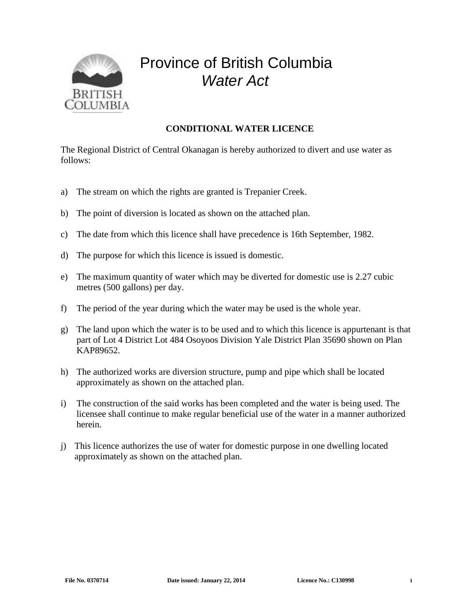

## Province of British Columbia *Water Act*

## **CONDITIONAL WATER LICENCE**

The Regional District of Central Okanagan is hereby authorized to divert and use water as follows:

- a) The stream on which the rights are granted is Trepanier Creek.
- b) The point of diversion is located as shown on the attached plan.
- c) The date from which this licence shall have precedence is 16th September, 1982.
- d) The purpose for which this licence is issued is domestic.
- e) The maximum quantity of water which may be diverted for domestic use is 2.27 cubic metres (500 gallons) per day.
- f) The period of the year during which the water may be used is the whole year.
- g) The land upon which the water is to be used and to which this licence is appurtenant is that part of Lot 4 District Lot 484 Osoyoos Division Yale District Plan 35690 shown on Plan KAP89652.
- h) The authorized works are diversion structure, pump and pipe which shall be located approximately as shown on the attached plan.
- i) The construction of the said works has been completed and the water is being used. The licensee shall continue to make regular beneficial use of the water in a manner authorized herein.
- j) This licence authorizes the use of water for domestic purpose in one dwelling located approximately as shown on the attached plan.